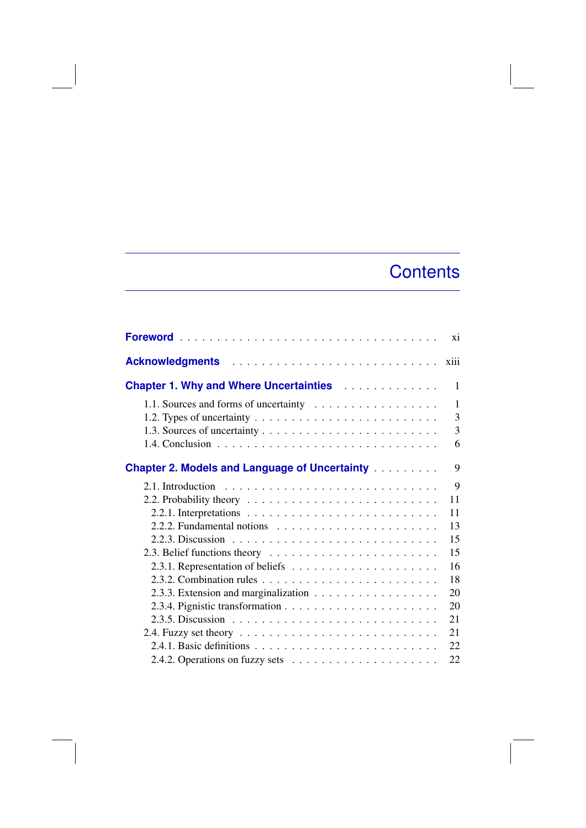## **Contents**

|                                                                                   | xi   |  |
|-----------------------------------------------------------------------------------|------|--|
|                                                                                   | xiii |  |
|                                                                                   |      |  |
|                                                                                   | 1    |  |
|                                                                                   | 3    |  |
|                                                                                   | 3    |  |
|                                                                                   | 6    |  |
| <b>Chapter 2. Models and Language of Uncertainty Alexandre</b>                    | 9    |  |
|                                                                                   | 9    |  |
| 2.2. Probability theory $\ldots \ldots \ldots \ldots \ldots \ldots \ldots \ldots$ | 11   |  |
|                                                                                   | 11   |  |
|                                                                                   | 13   |  |
|                                                                                   | 15   |  |
|                                                                                   | 15   |  |
|                                                                                   | 16   |  |
|                                                                                   | 18   |  |
|                                                                                   | 20   |  |
|                                                                                   | 20   |  |
|                                                                                   | 21   |  |
|                                                                                   | 21   |  |
|                                                                                   | 22   |  |
|                                                                                   | 22   |  |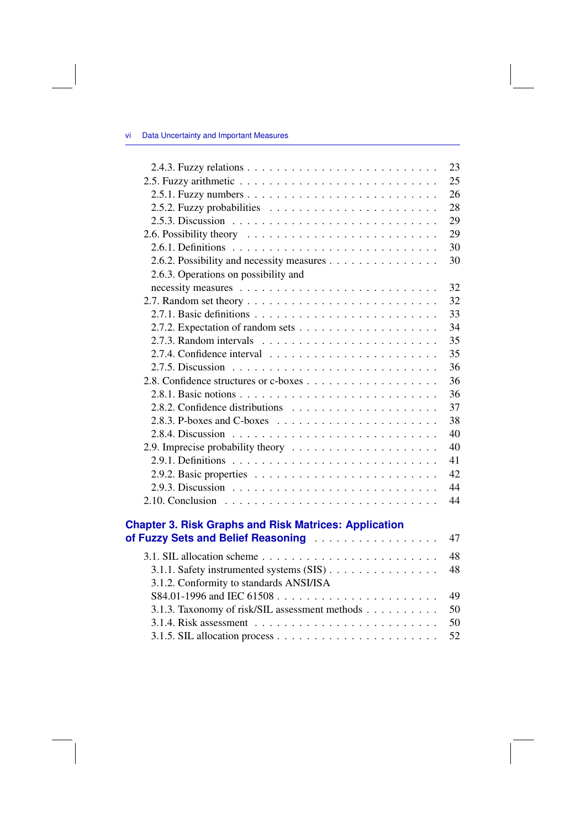## vi Data Uncertainty and Important Measures

|                                                                                                    | 23 |
|----------------------------------------------------------------------------------------------------|----|
|                                                                                                    | 25 |
|                                                                                                    | 26 |
|                                                                                                    | 28 |
|                                                                                                    | 29 |
|                                                                                                    | 29 |
|                                                                                                    | 30 |
| 2.6.2. Possibility and necessity measures                                                          | 30 |
| 2.6.3. Operations on possibility and                                                               |    |
|                                                                                                    | 32 |
|                                                                                                    | 32 |
|                                                                                                    | 33 |
|                                                                                                    | 34 |
|                                                                                                    | 35 |
|                                                                                                    | 35 |
|                                                                                                    | 36 |
|                                                                                                    | 36 |
|                                                                                                    | 36 |
|                                                                                                    | 37 |
| 2.8.3. P-boxes and C-boxes $\ldots \ldots \ldots \ldots \ldots \ldots$                             | 38 |
|                                                                                                    | 40 |
|                                                                                                    | 40 |
|                                                                                                    | 41 |
|                                                                                                    | 42 |
|                                                                                                    | 44 |
|                                                                                                    | 44 |
|                                                                                                    |    |
| <b>Chapter 3. Risk Graphs and Risk Matrices: Application</b><br>of Fuzzy Sets and Belief Reasoning | 47 |
|                                                                                                    |    |
|                                                                                                    | 48 |
| 3.1.1. Safety instrumented systems (SIS)                                                           | 48 |
| 3.1.2. Conformity to standards ANSI/ISA                                                            |    |
|                                                                                                    | 49 |
| 3.1.3. Taxonomy of risk/SIL assessment methods                                                     | 50 |
|                                                                                                    | 50 |

3.1.5. SIL allocation process ...................... 52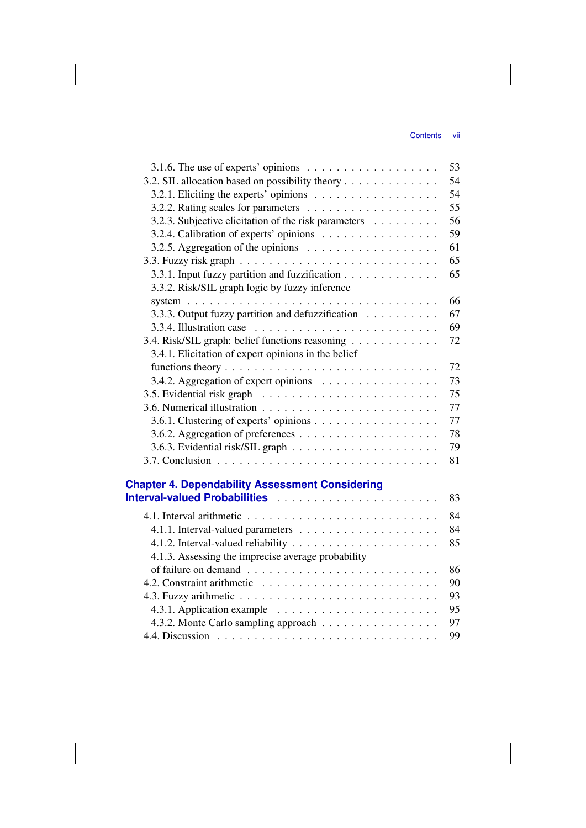| 3.1.6. The use of experts' opinions $\dots \dots \dots \dots \dots \dots$             | 53 |
|---------------------------------------------------------------------------------------|----|
| 3.2. SIL allocation based on possibility theory                                       | 54 |
| 3.2.1. Eliciting the experts' opinions                                                | 54 |
|                                                                                       | 55 |
| 3.2.3. Subjective elicitation of the risk parameters                                  | 56 |
| 3.2.4. Calibration of experts' opinions                                               | 59 |
| 3.2.5. Aggregation of the opinions $\ldots \ldots \ldots \ldots \ldots$               | 61 |
|                                                                                       | 65 |
| 3.3.1. Input fuzzy partition and fuzzification                                        | 65 |
| 3.3.2. Risk/SIL graph logic by fuzzy inference                                        |    |
| system $\ldots \ldots \ldots \ldots \ldots \ldots \ldots \ldots \ldots \ldots \ldots$ | 66 |
| 3.3.3. Output fuzzy partition and defuzzification                                     | 67 |
| 3.3.4. Illustration case $\ldots \ldots \ldots \ldots \ldots \ldots \ldots \ldots$    | 69 |
| 3.4. Risk/SIL graph: belief functions reasoning                                       | 72 |
| 3.4.1. Elicitation of expert opinions in the belief                                   |    |
|                                                                                       | 72 |
| 3.4.2. Aggregation of expert opinions                                                 | 73 |
|                                                                                       | 75 |
|                                                                                       | 77 |
| 3.6.1. Clustering of experts' opinions                                                | 77 |
|                                                                                       | 78 |
|                                                                                       | 79 |
|                                                                                       | 81 |
|                                                                                       |    |
| <b>Chapter 4. Dependability Assessment Considering</b>                                |    |
|                                                                                       | 83 |
|                                                                                       | 84 |
|                                                                                       | 84 |
|                                                                                       | 85 |
| 4.1.3. Assessing the imprecise average probability                                    |    |
|                                                                                       | 86 |
|                                                                                       | 90 |
|                                                                                       | 93 |
|                                                                                       | 95 |
| 4.3.2. Monte Carlo sampling approach                                                  | 97 |
|                                                                                       | 99 |
|                                                                                       |    |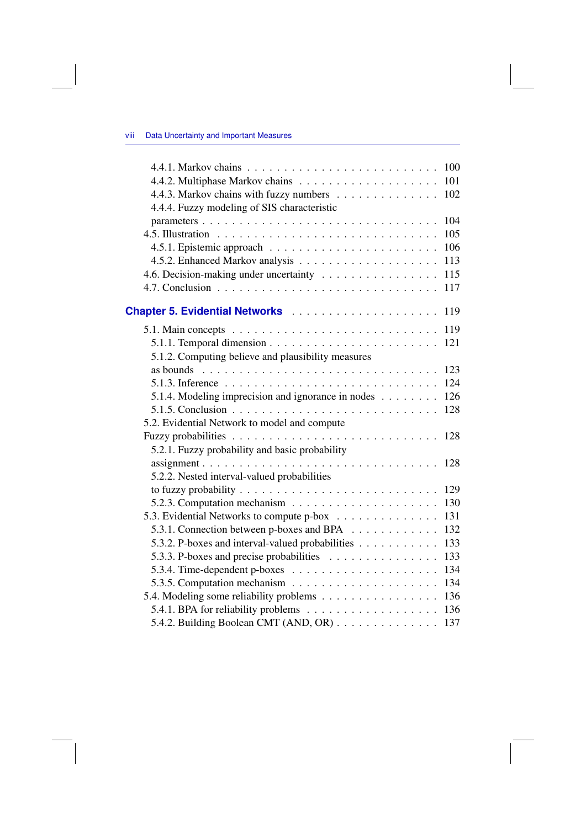## viii Data Uncertainty and Important Measures

|                                                                                           | 100 |
|-------------------------------------------------------------------------------------------|-----|
|                                                                                           | 101 |
| 4.4.3. Markov chains with fuzzy numbers                                                   | 102 |
| 4.4.4. Fuzzy modeling of SIS characteristic                                               |     |
| parameters                                                                                | 104 |
|                                                                                           | 105 |
|                                                                                           | 106 |
|                                                                                           | 113 |
| 4.6. Decision-making under uncertainty                                                    | 115 |
|                                                                                           | 117 |
|                                                                                           |     |
|                                                                                           | 119 |
| 5.1. Main concepts $\ldots \ldots \ldots \ldots \ldots \ldots \ldots \ldots \ldots$       | 119 |
|                                                                                           | 121 |
| 5.1.2. Computing believe and plausibility measures                                        |     |
| as bounds $\ldots \ldots \ldots \ldots \ldots \ldots \ldots \ldots \ldots \ldots$         | 123 |
|                                                                                           | 124 |
| 5.1.4. Modeling imprecision and ignorance in nodes                                        | 126 |
| 5.1.5. Conclusion $\ldots \ldots \ldots \ldots \ldots \ldots \ldots \ldots \ldots \ldots$ | 128 |
| 5.2. Evidential Network to model and compute                                              |     |
|                                                                                           | 128 |
| 5.2.1. Fuzzy probability and basic probability                                            |     |
| $assignment \ldots \ldots \ldots \ldots \ldots \ldots \ldots \ldots \ldots \ldots$        | 128 |
| 5.2.2. Nested interval-valued probabilities                                               |     |
|                                                                                           | 129 |
| 5.2.3. Computation mechanism $\ldots \ldots \ldots \ldots \ldots \ldots$                  | 130 |
| 5.3. Evidential Networks to compute p-box                                                 | 131 |
| 5.3.1. Connection between p-boxes and BPA                                                 | 132 |
| 5.3.2. P-boxes and interval-valued probabilities                                          | 133 |
| 5.3.3. P-boxes and precise probabilities                                                  | 133 |
|                                                                                           | 134 |
|                                                                                           | 134 |
| 5.4. Modeling some reliability problems                                                   | 136 |
|                                                                                           | 136 |
| 5.4.2. Building Boolean CMT (AND, OR)                                                     | 137 |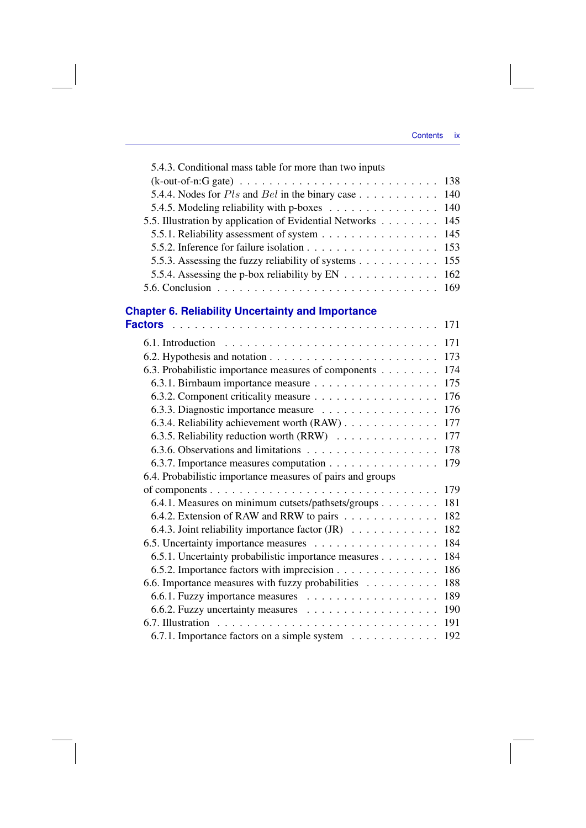| 5.4.3. Conditional mass table for more than two inputs                    |     |
|---------------------------------------------------------------------------|-----|
|                                                                           | 138 |
| 5.4.4. Nodes for $Pls$ and $Bel$ in the binary case                       | 140 |
| 5.4.5. Modeling reliability with p-boxes                                  | 140 |
| 5.5. Illustration by application of Evidential Networks                   | 145 |
| 5.5.1. Reliability assessment of system                                   | 145 |
|                                                                           | 153 |
| 5.5.3. Assessing the fuzzy reliability of systems                         | 155 |
|                                                                           | 162 |
|                                                                           | 169 |
| <b>Chapter 6. Reliability Uncertainty and Importance</b>                  |     |
| <b>Factors</b>                                                            | 171 |
|                                                                           | 171 |
|                                                                           | 173 |
| 6.3. Probabilistic importance measures of components                      | 174 |
| 6.3.1. Birnbaum importance measure                                        | 175 |
|                                                                           | 176 |
| 6.3.3. Diagnostic importance measure                                      | 176 |
| 6.3.4. Reliability achievement worth (RAW)                                | 177 |
| 6.3.5. Reliability reduction worth (RRW)                                  | 177 |
|                                                                           | 178 |
| 6.3.7. Importance measures computation                                    | 179 |
| 6.4. Probabilistic importance measures of pairs and groups                |     |
|                                                                           | 179 |
| 6.4.1. Measures on minimum cutsets/pathsets/groups                        | 181 |
| 6.4.2. Extension of RAW and RRW to pairs                                  | 182 |
| 6.4.3. Joint reliability importance factor $(JR) \dots \dots \dots \dots$ | 182 |
| 6.5. Uncertainty importance measures                                      | 184 |
| 6.5.1. Uncertainty probabilistic importance measures                      | 184 |
| 6.5.2. Importance factors with imprecision                                | 186 |
| 6.6. Importance measures with fuzzy probabilities                         | 188 |
|                                                                           | 189 |
|                                                                           | 190 |
|                                                                           | 191 |
| 6.7.1. Importance factors on a simple system                              | 192 |